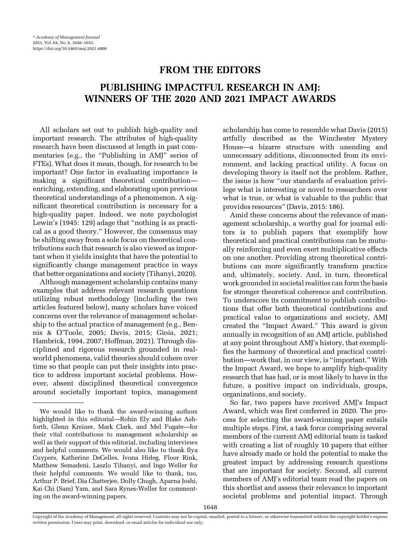## FROM THE EDITORS

# PUBLISHING IMPACTFUL RESEARCH IN AMJ: WINNERS OF THE 2020 AND 2021 IMPACT AWARDS

All scholars set out to publish high-quality and important research. The attributes of high-quality research have been discussed at length in past commentaries (e.g., the "Publishing in AMJ" series of FTEs). What does it mean, though, for research to be important? One factor in evaluating importance is making a significant theoretical contribution enriching, extending, and elaborating upon previous theoretical understandings of a phenomenon. A significant theoretical contribution is necessary for a high-quality paper. Indeed, we note psychologist Lewin'[s \(1945:](#page-5-0) 129) adage that "nothing is as practical as a good theory." However, the consensus may be shifting away from a sole focus on theoretical contributions such that research is also viewed as important when it yields insights that have the potential to significantly change management practice in ways that better organizations and society ([Tihanyi, 2020\)](#page-5-0).

Although management scholarship contains many examples that address relevant research questions utilizing robust methodology (including the two articles featured below), many scholars have voiced concerns over the relevance of management scholarship to the actual practice of management (e.g., [Ben](#page-5-0)nis & O'[Toole, 2005](#page-5-0); [Davis, 2015](#page-5-0); [Gioia, 2021;](#page-5-0) [Hambrick, 1994](#page-5-0), [2007; Hoffman, 2021](#page-5-0)). Through disciplined and rigorous research grounded in realworld phenomena, valid theories should cohere over time so that people can put their insights into practice to address important societal problems. However, absent disciplined theoretical convergence around societally important topics, management scholarship has come to resemble what [Davis \(2015](#page-5-0)) artfully described as the Winchester Mystery House—a bizarre structure with unending and unnecessary additions, disconnected from its environment, and lacking practical utility. A focus on developing theory is itself not the problem. Rather, the issue is how "our standards of evaluation privilege what is interesting or novel to researchers over what is true, or what is valuable to the public that provides resources" [\(Davis, 2015](#page-5-0): 186).

Amid these concerns about the relevance of management scholarship, a worthy goal for journal editors is to publish papers that exemplify how theoretical and practical contributions can be mutually reinforcing and even exert multiplicative effects on one another. Providing strong theoretical contributions can more significantly transform practice and, ultimately, society. And, in turn, theoretical work grounded in societal realities can form the basis for stronger theoretical coherence and contribution. To underscore its commitment to publish contributions that offer both theoretical contributions and practical value to organizations and society, AMJ created the "Impact Award." This award is given annually in recognition of an AMJ article, published at any point throughout AMJ's history, that exemplifies the harmony of theoretical and practical contribution—work that, in our view, is "important." With the Impact Award, we hope to amplify high-quality research that has had, or is most likely to have in the future, a positive impact on individuals, groups, organizations, and society.

So far, two papers have received AMJ's Impact Award, which was first conferred in 2020. The process for selecting the award-winning paper entails multiple steps. First, a task force comprising several members of the current AMJ editorial team is tasked with creating a list of roughly 10 papers that either have already made or hold the potential to make the greatest impact by addressing research questions that are important for society. Second, all current members of AMJ's editorial team read the papers on this shortlist and assess their relevance to important societal problems and potential impact. Through

We would like to thank the award-winning authors highlighted in this editorial—Robin Ely and Blake Ashforth, Glenn Kreiner, Mark Clark, and Mel Fugate—for their vital contributions to management scholarship as well as their support of this editorial, including interviews and helpful comments. We would also like to thank Ilya Cuypers, Katherine DeCelles, Ivona Hideg, Floor Rink, Matthew Semadeni, Laszlo Tihanyi, and Ingo Weller for their helpful comments. We would like to thank, too, Arthur P. Brief, Dia Chatterjee, Dolly Chugh, Aparna Joshi, Kai Chi (Sam) Yam, and Sara Rynes-Weller for commenting on the award-winning papers.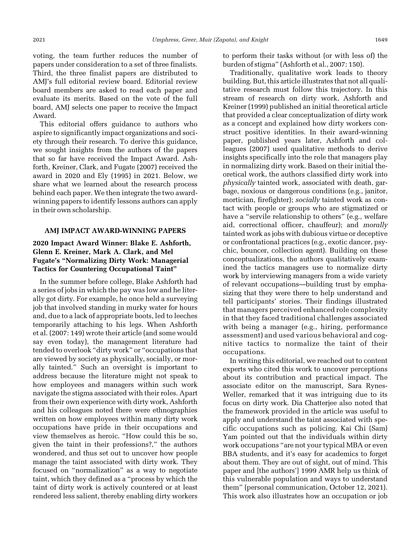voting, the team further reduces the number of papers under consideration to a set of three finalists. Third, the three finalist papers are distributed to AMJ's full editorial review board. Editorial review board members are asked to read each paper and evaluate its merits. Based on the vote of the full board, AMJ selects one paper to receive the Impact Award.

This editorial offers guidance to authors who aspire to significantly impact organizations and society through their research. To derive this guidance, we sought insights from the authors of the papers that so far have received the Impact Award. [Ash](#page-5-0)[forth, Kreiner, Clark, and Fugate \(2007\)](#page-5-0) received the award in 2020 and [Ely \(1995](#page-5-0)) in 2021. Below, we share what we learned about the research process behind each paper. We then integrate the two awardwinning papers to identify lessons authors can apply in their own scholarship.

#### AMJ IMPACT AWARD-WINNING PAPERS

## 2020 Impact Award Winner: Blake E. Ashforth, Glenn E. Kreiner, Mark A. Clark, and Mel Fugate's "Normalizing Dirty Work: Managerial Tactics for Countering Occupational Taint"

In the summer before college, Blake Ashforth had a series of jobs in which the pay was low and he literally got dirty. For example, he once held a surveying job that involved standing in murky water for hours and, due to a lack of appropriate boots, led to leeches temporarily attaching to his legs. When [Ashforth](#page-5-0) [et al. \(2007:](#page-5-0) 149) wrote their article (and some would say even today), the management literature had tended to overlook "dirty work" or "occupations that are viewed by society as physically, socially, or morally tainted." Such an oversight is important to address because the literature might not speak to how employees and managers within such work navigate the stigma associated with their roles. Apart from their own experience with dirty work, Ashforth and his colleagues noted there were ethnographies written on how employees within many dirty work occupations have pride in their occupations and view themselves as heroic. "How could this be so, given the taint in their professions?," the authors wondered, and thus set out to uncover how people manage the taint associated with dirty work. They focused on "normalization" as a way to negotiate taint, which they defined as a "process by which the taint of dirty work is actively countered or at least rendered less salient, thereby enabling dirty workers

to perform their tasks without (or with less of) the burden of stigma" ([Ashforth et al., 2007](#page-5-0): 150).

Traditionally, qualitative work leads to theory building. But, this article illustrates that not all qualitative research must follow this trajectory. In this stream of research on dirty work, [Ashforth and](#page-5-0) [Kreiner \(1999](#page-5-0)) published an initial theoretical article that provided a clear conceptualization of dirty work as a concept and explained how dirty workers construct positive identities. In their award-winning paper, published years later, Ashforth and colleagues (2007) used qualitative methods to derive insights specifically into the role that managers play in normalizing dirty work. Based on their initial theoretical work, the authors classified dirty work into physically tainted work, associated with death, garbage, noxious or dangerous conditions (e.g., janitor, mortician, firefighter); socially tainted work as contact with people or groups who are stigmatized or have a "servile relationship to others" (e.g., welfare aid, correctional officer, chauffeur); and morally tainted work as jobs with dubious virtue or deceptive or confrontational practices (e.g., exotic dancer, psychic, bouncer, collection agent). Building on these conceptualizations, the authors qualitatively examined the tactics managers use to normalize dirty work by interviewing managers from a wide variety of relevant occupations—building trust by emphasizing that they were there to help understand and tell participants' stories. Their findings illustrated that managers perceived enhanced role complexity in that they faced traditional challenges associated with being a manager (e.g., hiring, performance assessment) and used various behavioral and cognitive tactics to normalize the taint of their occupations.

In writing this editorial, we reached out to content experts who cited this work to uncover perceptions about its contribution and practical impact. The associate editor on the manuscript, Sara Rynes-Weller, remarked that it was intriguing due to its focus on dirty work. Dia Chatterjee also noted that the framework provided in the article was useful to apply and understand the taint associated with specific occupations such as policing. Kai Chi (Sam) Yam pointed out that the individuals within dirty work occupations "are not your typical MBA or even BBA students, and it's easy for academics to forget about them. They are out of sight, out of mind. This paper and [the authors'] 1999 AMR help us think of this vulnerable population and ways to understand them" (personal communication, October 12, 2021). This work also illustrates how an occupation or job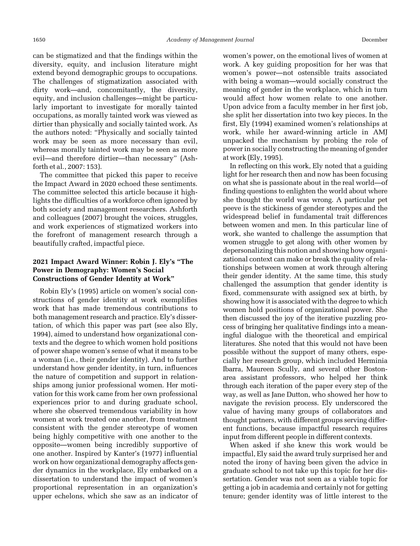can be stigmatized and that the findings within the diversity, equity, and inclusion literature might extend beyond demographic groups to occupations. The challenges of stigmatization associated with dirty work—and, concomitantly, the diversity, equity, and inclusion challenges—might be particularly important to investigate for morally tainted occupations, as morally tainted work was viewed as dirtier than physically and socially tainted work. As the authors noted: "Physically and socially tainted work may be seen as more necessary than evil, whereas morally tainted work may be seen as more evil—and therefore dirtier—than necessary" [\(Ash](#page-5-0)[forth et al., 2007](#page-5-0): 153).

The committee that picked this paper to receive the Impact Award in 2020 echoed these sentiments. The committee selected this article because it highlights the difficulties of a workforce often ignored by both society and management researchers. Ashforth and colleagues (2007) brought the voices, struggles, and work experiences of stigmatized workers into the forefront of management research through a beautifully crafted, impactful piece.

## 2021 Impact Award Winner: Robin J. Ely's "The Power in Demography: Women's Social Constructions of Gender Identity at Work"

Robin Ely'[s \(1995\)](#page-5-0) article on women's social constructions of gender identity at work exemplifies work that has made tremendous contributions to both management research and practice. Ely's dissertation, of which this paper was part (see also [Ely,](#page-5-0) [1994](#page-5-0)), aimed to understand how organizational contexts and the degree to which women hold positions of power shape women's sense of what it means to be a woman (i.e., their gender identity). And to further understand how gender identity, in turn, influences the nature of competition and support in relationships among junior professional women. Her motivation for this work came from her own professional experiences prior to and during graduate school, where she observed tremendous variability in how women at work treated one another, from treatment consistent with the gender stereotype of women being highly competitive with one another to the opposite—women being incredibly supportive of one another. Inspired by Kanter'[s \(1977](#page-5-0)) influential work on how organizational demography affects gender dynamics in the workplace, Ely embarked on a dissertation to understand the impact of women's proportional representation in an organization's upper echelons, which she saw as an indicator of women's power, on the emotional lives of women at work. A key guiding proposition for her was that women's power—not ostensible traits associated with being a woman—would socially construct the meaning of gender in the workplace, which in turn would affect how women relate to one another. Upon advice from a faculty member in her first job, she split her dissertation into two key pieces. In the first, [Ely \(1994\)](#page-5-0) examined women's relationships at work, while her award-winning article in AMJ unpacked the mechanism by probing the role of power in socially constructing the meaning of gender at work ([Ely, 1995\)](#page-5-0).

In reflecting on this work, Ely noted that a guiding light for her research then and now has been focusing on what she is passionate about in the real world—of finding questions to enlighten the world about where she thought the world was wrong. A particular pet peeve is the stickiness of gender stereotypes and the widespread belief in fundamental trait differences between women and men. In this particular line of work, she wanted to challenge the assumption that women struggle to get along with other women by depersonalizing this notion and showing how organizational context can make or break the quality of relationships between women at work through altering their gender identity. At the same time, this study challenged the assumption that gender identity is fixed, commensurate with assigned sex at birth, by showing how it is associated with the degree to which women hold positions of organizational power. She then discussed the joy of the iterative puzzling process of bringing her qualitative findings into a meaningful dialogue with the theoretical and empirical literatures. She noted that this would not have been possible without the support of many others, especially her research group, which included Herminia Ibarra, Maureen Scully, and several other Bostonarea assistant professors, who helped her think through each iteration of the paper every step of the way, as well as Jane Dutton, who showed her how to navigate the revision process. Ely underscored the value of having many groups of collaborators and thought partners, with different groups serving different functions, because impactful research requires input from different people in different contexts.

When asked if she knew this work would be impactful, Ely said the award truly surprised her and noted the irony of having been given the advice in graduate school to not take up this topic for her dissertation. Gender was not seen as a viable topic for getting a job in academia and certainly not for getting tenure; gender identity was of little interest to the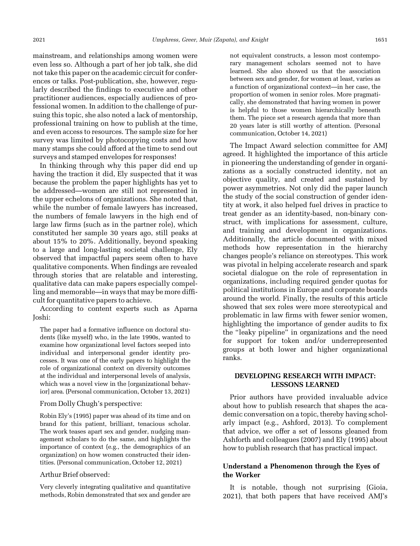mainstream, and relationships among women were even less so. Although a part of her job talk, she did not take this paper on the academic circuit for conferences or talks. Post-publication, she, however, regularly described the findings to executive and other practitioner audiences, especially audiences of professional women. In addition to the challenge of pursuing this topic, she also noted a lack of mentorship, professional training on how to publish at the time, and even access to resources. The sample size for her survey was limited by photocopying costs and how many stamps she could afford at the time to send out surveys and stamped envelopes for responses!

In thinking through why this paper did end up having the traction it did, Ely suspected that it was because the problem the paper highlights has yet to be addressed—women are still not represented in the upper echelons of organizations. She noted that, while the number of female lawyers has increased, the numbers of female lawyers in the high end of large law firms (such as in the partner role), which constituted her sample 30 years ago, still peaks at about 15% to 20%. Additionally, beyond speaking to a large and long-lasting societal challenge, Ely observed that impactful papers seem often to have qualitative components. When findings are revealed through stories that are relatable and interesting, qualitative data can make papers especially compelling and memorable—in ways that may be more difficult for quantitative papers to achieve.

According to content experts such as Aparna Joshi:

The paper had a formative influence on doctoral students (like myself) who, in the late 1990s, wanted to examine how organizational level factors seeped into individual and interpersonal gender identity processes. It was one of the early papers to highlight the role of organizational context on diversity outcomes at the individual and interpersonal levels of analysis, which was a novel view in the [organizational behavior] area. (Personal communication, October 13, 2021)

#### From Dolly Chugh's perspective:

Robin Ely'[s \(1995](#page-5-0)) paper was ahead of its time and on brand for this patient, brilliant, tenacious scholar. The work teases apart sex and gender, nudging management scholars to do the same, and highlights the importance of context (e.g., the demographics of an organization) on how women constructed their identities. (Personal communication, October 12, 2021)

#### Arthur Brief observed:

Very cleverly integrating qualitative and quantitative methods, Robin demonstrated that sex and gender are not equivalent constructs, a lesson most contemporary management scholars seemed not to have learned. She also showed us that the association between sex and gender, for women at least, varies as a function of organizational context—in her case, the proportion of women in senior roles. More pragmatically, she demonstrated that having women in power is helpful to those women hierarchically beneath them. The piece set a research agenda that more than 20 years later is still worthy of attention. (Personal communication, October 14, 2021)

The Impact Award selection committee for AMJ agreed. It highlighted the importance of this article in pioneering the understanding of gender in organizations as a socially constructed identity, not an objective quality, and created and sustained by power asymmetries. Not only did the paper launch the study of the social construction of gender identity at work, it also helped fuel drives in practice to treat gender as an identity-based, non-binary construct, with implications for assessment, culture, and training and development in organizations. Additionally, the article documented with mixed methods how representation in the hierarchy changes people's reliance on stereotypes. This work was pivotal in helping accelerate research and spark societal dialogue on the role of representation in organizations, including required gender quotas for political institutions in Europe and corporate boards around the world. Finally, the results of this article showed that sex roles were more stereotypical and problematic in law firms with fewer senior women, highlighting the importance of gender audits to fix the "leaky pipeline" in organizations and the need for support for token and/or underrepresented groups at both lower and higher organizational ranks.

#### DEVELOPING RESEARCH WITH IMPACT: LESSONS LEARNED

Prior authors have provided invaluable advice about how to publish research that shapes the academic conversation on a topic, thereby having scholarly impact (e.g., [Ashford, 2013\)](#page-5-0). To complement that advice, we offer a set of lessons gleaned from Ashforth and colleagues (2007) and [Ely \(1995\)](#page-5-0) about how to publish research that has practical impact.

#### Understand a Phenomenon through the Eyes of the Worker

It is notable, though not surprising ([Gioia,](#page-5-0) [2021](#page-5-0)), that both papers that have received AMJ's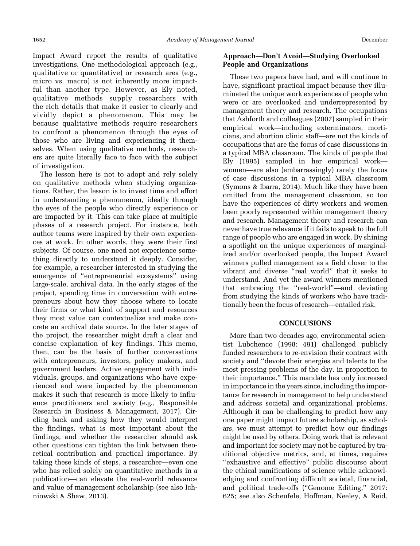Impact Award report the results of qualitative investigations. One methodological approach (e.g., qualitative or quantitative) or research area (e.g., micro vs. macro) is not inherently more impactful than another type. However, as Ely noted, qualitative methods supply researchers with the rich details that make it easier to clearly and vividly depict a phenomenon. This may be because qualitative methods require researchers to confront a phenomenon through the eyes of those who are living and experiencing it themselves. When using qualitative methods, researchers are quite literally face to face with the subject of investigation.

The lesson here is not to adopt and rely solely on qualitative methods when studying organizations. Rather, the lesson is to invest time and effort in understanding a phenomenon, ideally through the eyes of the people who directly experience or are impacted by it. This can take place at multiple phases of a research project. For instance, both author teams were inspired by their own experiences at work. In other words, they were their first subjects. Of course, one need not experience something directly to understand it deeply. Consider, for example, a researcher interested in studying the emergence of "entrepreneurial ecosystems" using large-scale, archival data. In the early stages of the project, spending time in conversation with entrepreneurs about how they choose where to locate their firms or what kind of support and resources they most value can contextualize and make concrete an archival data source. In the later stages of the project, the researcher might draft a clear and concise explanation of key findings. This memo, then, can be the basis of further conversations with entrepreneurs, investors, policy makers, and government leaders. Active engagement with individuals, groups, and organizations who have experienced and were impacted by the phenomenon makes it such that research is more likely to influence practitioners and society (e.g., [Responsible](#page-5-0) [Research in Business & Management, 2017](#page-5-0)). Circling back and asking how they would interpret the findings, what is most important about the findings, and whether the researcher should ask other questions can tighten the link between theoretical contribution and practical importance. By taking these kinds of steps, a researcher—even one who has relied solely on quantitative methods in a publication—can elevate the real-world relevance and value of management scholarship (see also [Ich](#page-5-0)[niowski & Shaw, 2013](#page-5-0)).

### Approach—Don't Avoid—Studying Overlooked People and Organizations

These two papers have had, and will continue to have, significant practical impact because they illuminated the unique work experiences of people who were or are overlooked and underrepresented by management theory and research. The occupations that Ashforth and colleagues (2007) sampled in their empirical work—including exterminators, morticians, and abortion clinic staff—are not the kinds of occupations that are the focus of case discussions in a typical MBA classroom. The kinds of people that [Ely \(1995\)](#page-5-0) sampled in her empirical work women—are also (embarrassingly) rarely the focus of case discussions in a typical MBA classroom ([Symons & Ibarra, 2014](#page-5-0)). Much like they have been omitted from the management classroom, so too have the experiences of dirty workers and women been poorly represented within management theory and research. Management theory and research can never have true relevance if it fails to speak to the full range of people who are engaged in work. By shining a spotlight on the unique experiences of marginalized and/or overlooked people, the Impact Award winners pulled management as a field closer to the vibrant and diverse "real world" that it seeks to understand. And yet the award winners mentioned that embracing the "real-world"—and deviating from studying the kinds of workers who have traditionally been the focus of research—entailed risk.

#### **CONCLUSIONS**

More than two decades ago, environmental scientist [Lubchenco \(1998](#page-5-0): 491) challenged publicly funded researchers to re-envision their contract with society and "devote their energies and talents to the most pressing problems of the day, in proportion to their importance." This mandate has only increased in importance in the years since, including the importance for research in management to help understand and address societal and organizational problems. Although it can be challenging to predict how any one paper might impact future scholarship, as scholars, we must attempt to predict how our findings might be used by others. Doing work that is relevant and important for society may not be captured by traditional objective metrics, and, at times, requires "exhaustive and effective" public discourse about the ethical ramifications of science while acknowledging and confronting difficult societal, financial, and political trade-offs ("Genome Editing," 2017: 625; see also Scheufele, Hoffman, Neeley, & Reid,